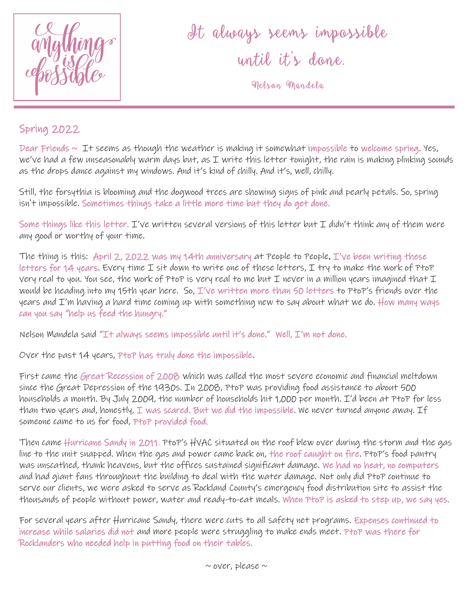

It always seems impossible until it 's done .

Nelson Mandela

## Spring 2022

Dear Friends  $\sim$  It seems as though the weather is making it somewhat impossible to welcome spring. Yes, we've had a few unseasonably warm days but, as I write this letter tonight, the rain is making plinking sounds as the drops dance against my windows. And it's kind of chilly. And it's, well, chilly.

Still, the forsythia is blooming and the dogwood trees are showing signs of pink and pearly petals. So, spring isn't impossible. Sometimes things take a little more time but they do get done.

Some things like this letter. I've written several versions of this letter but I didn't think any of them were any good or worthy of your time.

The thing is this: April 2, 2022 was my 14th anniversary at People to People. I've been writing these letters for 14 years. Every time  $I$  sit down to write one of these letters,  $I$  try to make the work of PtoP very real to you. You see, the work of PtoP is very real to me but I never in a million years imagined that  $I$ would be heading into my 15th year here. So, I've written more than 50 letters to PtoP's friends over the years and I'm having a hard time coming up with something new to say about what we do. How many ways can you say "help us feed the hungry."

Nelson Mandela said "It always seems impossible until it's done." Well, I'm not done.

Over the past 14 years, PtoP has truly done the impossible.

First came the Great Recession of 2008 which was called the most severe economic and financial meltdown since the Great Depression of the 1930s. In 2008, PtoP was providing food assistance to about 500 households a month. By July 2009, the number of households hit 1,000 per month. I'd been at PtoP for less than two years and, honestly,  $I$  was scared. But we did the impossible. We never turned anyone away.  $If$ someone came to us for food, PtoP provided food.

Then came Hurricane Sandy in 2011. PtoP's HVAC situated on the roof blew over during the storm and the gas line to the unit snapped. When the gas and power came back on, the roof caught on fire. PtoP's food pantry was unscathed, thank heavens, but the offices sustained significant damage. We had no heat, no computers and had giant fans throughout the building to deal with the water damage. Not only did PtoP continue to serve our clients, we were asked to serve as Rockland County's emergency food distribution site to assist the thousands of people without power, water and ready-to-eat meals. When PtoP is asked to step up, we say yes.

For several years after Hurricane Sandy, there were cuts to all safety net programs. Expenses continued to increase while salaries did not and more people were struggling to make ends meet. PtoP was there for Rocklanders who needed help in putting food on their tables.